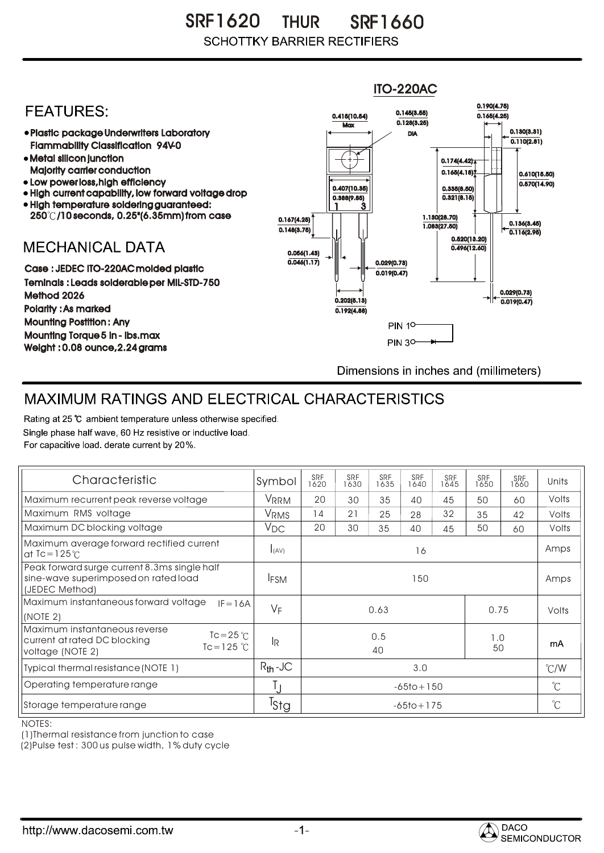SR F1620 SRF1660 THUR **SCHOTTKY BARRIER RECTIFIERS** 

## ITO-220AC0.190(4.75) **FEATURES:** 0.145(3.55) 0.415(10.54) 0.165(4.25)  $Max \overline{0.128(3.25)}$ 0.130(3.31) Plastic package Underwriters Laboratory DIA  $\overline{0.110(2.81)}$ Flammability Classification 94V-0 Metal silicon junction  $0.174(4.42)$ Majority carrier conduction  $0.165(4.18)$ 0.610(15.50) • Low power loss, high efficiency  $0.570(14.90)$ 0.407(10.35) 0.335(8.50) High current capability, low forward voltage drop  $0.321(8.15)$ 0.388(9.85) High temperature soldering guaranteed: 1 3 250 /10 seconds, 0.25"(6.35mm) from case 0.167(4.25) 1.130(28.70) 0.136(3.45)  $0.148(3.75)$ 1.083(27.50) 0.116(2.95) 0.520(13.20) **MECHANICAL DATA**  $0.496(12.60)$ 0.056(1.43)  $\overline{0.046(1.17)}$   $\overline{ }$   $\parallel$   $\parallel$   $\parallel$  0.029(0.73) Case : JEDEC ITO-220AC molded plastic 0.019(0.47) Teminals : Leads solderable per MIL-STD-750 0.029(0.73) Method 2026  $0.202(5.13)$   $\rightarrow$   $\mid$   $\leftarrow$   $\frac{}{0.019(0.47)}$ Polarity : As marked 0.192(4.88) Mounting Postition : Any **PIN 10-**Mounting Torque 5 in - lbs.max **PIN 30-**Weight : 0.08 ounce,2.24 grams Dimensions in inches and (millimeters)

## MAXIMUM RATINGS AND ELECTRICAL CHARACTERISTICS

Rating at 25 °C ambient temperature unless otherwise specified. Single phase half wave, 60 Hz resistive or inductive load. For capacitive load, derate current by 20%.

| Characteristic                                                                                                     | Symbol           | SRF<br>1620            | SRF<br>1630 | SRF<br>1635 | SRF<br>1640 | SRF<br>1645 | SRF<br>1650 | SRF<br>1660 | Units         |
|--------------------------------------------------------------------------------------------------------------------|------------------|------------------------|-------------|-------------|-------------|-------------|-------------|-------------|---------------|
| Maximum recurrent peak reverse voltage                                                                             | VRRM             | 20                     | 30          | 35          | 40          | 45          | 50          | 60          | Volts         |
| Maximum RMS voltage                                                                                                | V <sub>RMS</sub> | 14                     | 21          | 25          | 28          | 32          | 35          | 42          | Volts         |
| Maximum DC blocking voltage                                                                                        | $V_{DC}$         | 20                     | 30          | 35          | 40          | 45          | 50          | 60          | Volts         |
| Maximum average forward rectified current<br>at Tc=125 $\degree$ C                                                 | I(AV)            | 16                     |             |             |             |             |             |             | Amps          |
| Peak forward surge current 8.3ms single half<br>sine-wave superimposed on rated load<br>(JEDEC Method)             | <b>IFSM</b>      | 150                    |             |             |             |             |             |             | Amps          |
| Maximum instantaneous forward voltage<br>$IF = 16A$<br>(NOTE 2)                                                    | $V_F$            | 0.63<br>0.75           |             |             |             |             |             | Volts       |               |
| Maximum instantaneous reverse<br>$Tc = 25$ °C<br>current at rated DC blocking<br>$Tc = 125$ °C<br>voltage (NOTE 2) | <sup>I</sup> R   | 0.5<br>1.0<br>50<br>40 |             |             |             |             |             | mA          |               |
| Typical thermal resistance (NOTE 1)                                                                                | $R_{th}$ -JC     | 3.0                    |             |             |             |             |             |             | $\degree$ C/W |
| Operating temperature range                                                                                        |                  | $-65$ to + 150         |             |             |             |             |             |             | $^{\circ}$ C  |
| Storage temperature range                                                                                          | <sup>T</sup> stg | $-65$ to + 175         |             |             |             |             |             |             | $^{\circ}$ C  |

NOTES:

(1)Thermal resistance from junction to case

(2)Pulse test : 300 us pulse width, 1% duty cycle